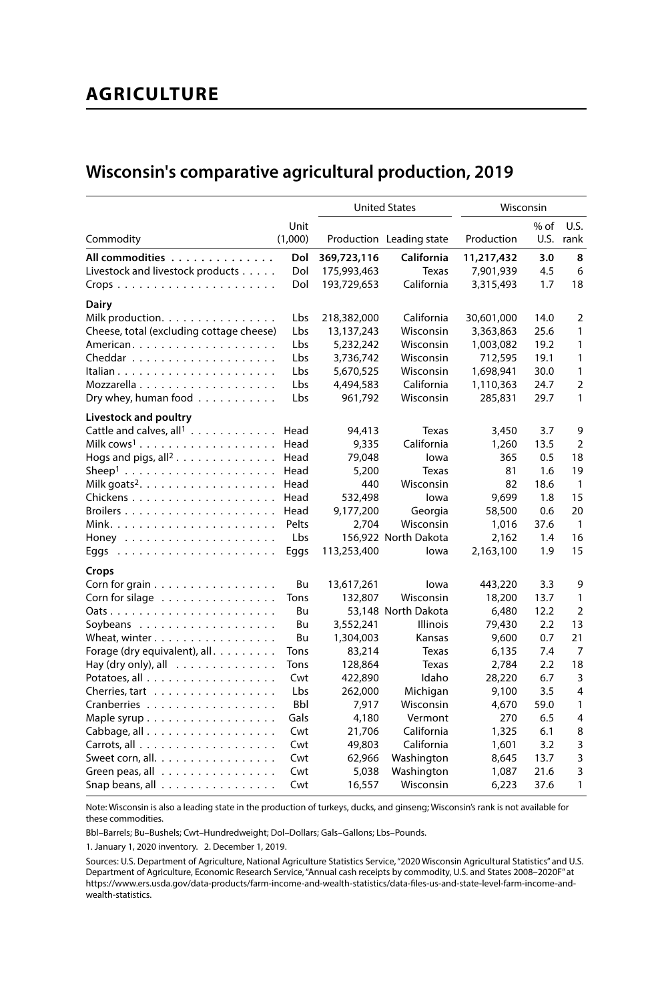# **AGRICULTURE**

## **Wisconsin's comparative agricultural production, 2019**

|                                                                 | <b>United States</b> |             | Wisconsin                |            |        |                |
|-----------------------------------------------------------------|----------------------|-------------|--------------------------|------------|--------|----------------|
|                                                                 | Unit                 |             |                          |            | $%$ of | U.S.           |
| Commodity                                                       | (1,000)              |             | Production Leading state | Production | U.S.   | rank           |
| All commodities                                                 | Dol                  | 369,723,116 | California               | 11,217,432 | 3.0    | 8              |
| Livestock and livestock products                                | Dol                  | 175,993,463 | Texas                    | 7,901,939  | 4.5    | 6              |
| $Crops \ldots \ldots \ldots \ldots \ldots \ldots \ldots \ldots$ | Dol                  | 193,729,653 | California               | 3,315,493  | 1.7    | 18             |
| Dairy                                                           |                      |             |                          |            |        |                |
| Milk production.                                                | Lbs                  | 218,382,000 | California               | 30,601,000 | 14.0   | 2              |
| Cheese, total (excluding cottage cheese)                        | Lbs                  | 13,137,243  | Wisconsin                | 3,363,863  | 25.6   | 1              |
|                                                                 | Lbs                  | 5,232,242   | Wisconsin                | 1,003,082  | 19.2   | 1              |
|                                                                 | Lbs                  | 3,736,742   | Wisconsin                | 712,595    | 19.1   | 1              |
|                                                                 | Lbs                  | 5,670,525   | Wisconsin                | 1,698,941  | 30.0   | 1              |
|                                                                 | Lbs                  | 4,494,583   | California               | 1,110,363  | 24.7   | $\overline{2}$ |
| Dry whey, human food $\ldots \ldots \ldots$                     | Lbs                  | 961.792     | Wisconsin                | 285,831    | 29.7   | 1              |
| Livestock and poultry                                           |                      |             |                          |            |        |                |
| Cattle and calves, all <sup>1</sup>                             | Head                 | 94,413      | Texas                    | 3,450      | 3.7    | 9              |
|                                                                 | Head                 | 9,335       | California               | 1,260      | 13.5   | $\overline{2}$ |
| Hogs and pigs, all <sup>2</sup>                                 | Head                 | 79,048      | lowa                     | 365        | 0.5    | 18             |
|                                                                 | Head                 | 5,200       | Texas                    | 81         | 1.6    | 19             |
|                                                                 | Head                 | 440         | Wisconsin                | 82         | 18.6   | $\mathbf{1}$   |
|                                                                 | Head                 | 532,498     | lowa                     | 9.699      | 1.8    | 15             |
|                                                                 | Head                 | 9,177,200   | Georgia                  | 58,500     | 0.6    | 20             |
|                                                                 | Pelts                | 2,704       | Wisconsin                | 1,016      | 37.6   | $\mathbf{1}$   |
| Honey                                                           | Lbs                  |             | 156,922 North Dakota     | 2,162      | 1.4    | 16             |
| Eggs                                                            | Eggs                 | 113,253,400 | lowa                     | 2,163,100  | 1.9    | 15             |
| Crops                                                           |                      |             |                          |            |        |                |
| Corn for grain $\ldots \ldots \ldots \ldots \ldots$             | Bu                   | 13,617,261  | lowa                     | 443,220    | 3.3    | 9              |
| Corn for silage                                                 | Tons                 | 132,807     | Wisconsin                | 18,200     | 13.7   | 1              |
|                                                                 | Bu                   |             | 53.148 North Dakota      | 6.480      | 12.2   | $\overline{2}$ |
|                                                                 | Bu                   | 3,552,241   | <b>Illinois</b>          | 79,430     | 2.2    | 13             |
| Wheat, winter                                                   | Bu                   | 1,304,003   | Kansas                   | 9,600      | 0.7    | 21             |
| Forage (dry equivalent), all.                                   | Tons                 | 83,214      | Texas                    | 6.135      | 7.4    | $\overline{7}$ |
| Hay (dry only), all $\ldots \ldots \ldots \ldots$               | Tons                 | 128,864     | Texas                    | 2,784      | 2.2    | 18             |
|                                                                 | Cwt                  | 422,890     | Idaho                    | 28,220     | 6.7    | 3              |
| Cherries, tart                                                  | Lbs                  | 262,000     | Michigan                 | 9,100      | 3.5    | $\overline{4}$ |
| Cranberries                                                     | <b>Bbl</b>           | 7,917       | Wisconsin                | 4,670      | 59.0   | 1              |
| Maple syrup $\ldots \ldots \ldots \ldots \ldots$                | Gals                 | 4,180       | Vermont                  | 270        | 6.5    | 4              |
| Cabbage, all                                                    | Cwt                  | 21,706      | California               | 1,325      | 6.1    | 8              |
|                                                                 | Cwt                  | 49,803      | California               | 1,601      | 3.2    | 3              |
| Sweet corn, all. $\ldots \ldots \ldots \ldots \ldots$           | Cwt                  | 62,966      | Washington               | 8,645      | 13.7   | 3              |
| Green peas, all $\ldots \ldots \ldots \ldots$                   | Cwt                  | 5,038       | Washington               | 1,087      | 21.6   | 3              |
| Snap beans, all                                                 | Cwt                  | 16,557      | Wisconsin                | 6,223      | 37.6   | 1              |

Note: Wisconsin is also a leading state in the production of turkeys, ducks, and ginseng; Wisconsin's rank is not available for these commodities.

Bbl–Barrels; Bu–Bushels; Cwt–Hundredweight; Dol–Dollars; Gals–Gallons; Lbs–Pounds.

1. January 1, 2020 inventory. 2. December 1, 2019.

Sources: U.S. Department of Agriculture, National Agriculture Statistics Service, "2020 Wisconsin Agricultural Statistics" and U.S. Department of Agriculture, Economic Research Service, "Annual cash receipts by commodity, U.S. and States 2008–2020F" at https://www.ers.usda.gov/data-products/farm-income-and-wealth-statistics/data-files-us-and-state-level-farm-income-andwealth-statistics.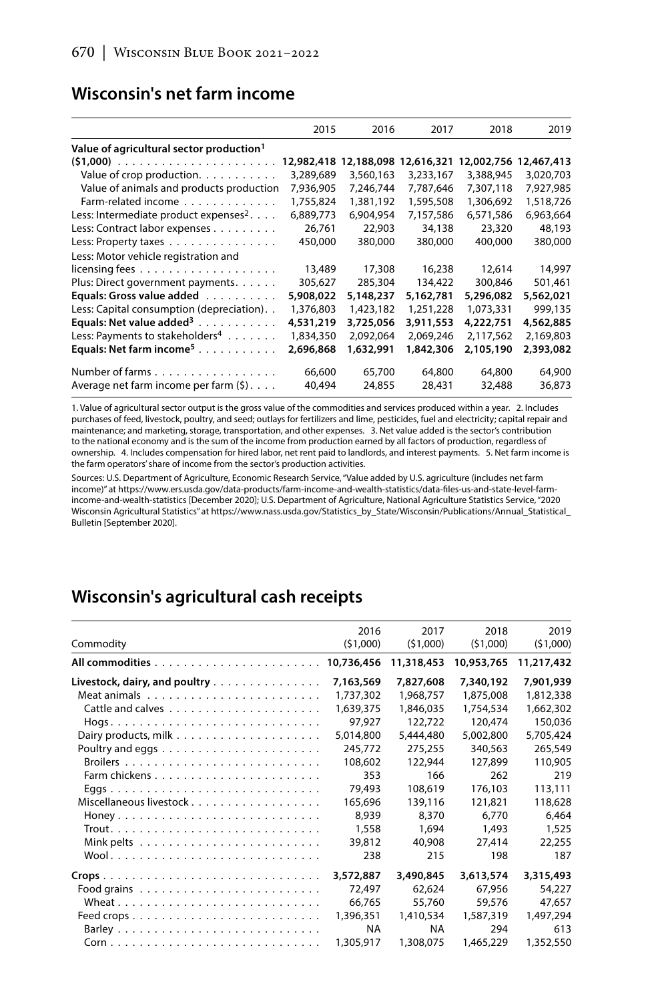#### **Wisconsin's net farm income**

|                                                      | 2015       | 2016      | 2017                  | 2018       | 2019       |
|------------------------------------------------------|------------|-----------|-----------------------|------------|------------|
| Value of agricultural sector production <sup>1</sup> |            |           |                       |            |            |
|                                                      | 12,982,418 |           | 12,188,098 12,616,321 | 12,002,756 | 12,467,413 |
| Value of crop production.                            | 3,289,689  | 3,560,163 | 3,233,167             | 3,388,945  | 3,020,703  |
| Value of animals and products production             | 7,936,905  | 7,246,744 | 7,787,646             | 7,307,118  | 7,927,985  |
| Farm-related income                                  | 1,755,824  | 1,381,192 | 1,595,508             | 1.306.692  | 1,518,726  |
| Less: Intermediate product expenses <sup>2</sup> .   | 6,889,773  | 6,904,954 | 7,157,586             | 6,571,586  | 6,963,664  |
| Less: Contract labor expenses                        | 26,761     | 22,903    | 34,138                | 23,320     | 48,193     |
| Less: Property taxes                                 | 450,000    | 380,000   | 380,000               | 400,000    | 380,000    |
| Less: Motor vehicle registration and                 |            |           |                       |            |            |
| licensing fees $\ldots \ldots \ldots \ldots \ldots$  | 13,489     | 17,308    | 16,238                | 12,614     | 14,997     |
| Plus: Direct government payments.                    | 305,627    | 285,304   | 134,422               | 300.846    | 501.461    |
| Equals: Gross value added                            | 5,908,022  | 5,148,237 | 5,162,781             | 5,296,082  | 5,562,021  |
| Less: Capital consumption (depreciation). .          | 1,376,803  | 1,423,182 | 1,251,228             | 1,073,331  | 999,135    |
| Equals: Net value added <sup>3</sup>                 | 4,531,219  | 3,725,056 | 3,911,553             | 4,222,751  | 4,562,885  |
| Less: Payments to stakeholders <sup>4</sup>          | 1,834,350  | 2,092,064 | 2,069,246             | 2,117,562  | 2,169,803  |
| Equals: Net farm income <sup>5</sup>                 | 2,696,868  | 1,632,991 | 1,842,306             | 2,105,190  | 2,393,082  |
| Number of farms                                      | 66,600     | 65,700    | 64,800                | 64,800     | 64,900     |
| Average net farm income per farm $(\xi)$             | 40,494     | 24,855    | 28,431                | 32,488     | 36,873     |

1. Value of agricultural sector output is the gross value of the commodities and services produced within a year. 2. Includes purchases of feed, livestock, poultry, and seed; outlays for fertilizers and lime, pesticides, fuel and electricity; capital repair and maintenance; and marketing, storage, transportation, and other expenses. 3. Net value added is the sector's contribution to the national economy and is the sum of the income from production earned by all factors of production, regardless of ownership. 4. Includes compensation for hired labor, net rent paid to landlords, and interest payments. 5. Net farm income is the farm operators' share of income from the sector's production activities.

Sources: U.S. Department of Agriculture, Economic Research Service, "Value added by U.S. agriculture (includes net farm income)" at https://www.ers.usda.gov/data-products/farm-income-and-wealth-statistics/data-files-us-and-state-level-farmincome-and-wealth-statistics [December 2020]; U.S. Department of Agriculture, National Agriculture Statistics Service, "2020 Wisconsin Agricultural Statistics" at https://www.nass.usda.gov/Statistics\_by\_State/Wisconsin/Publications/Annual\_Statistical\_ Bulletin [September 2020].

## **Wisconsin's agricultural cash receipts**

| Commodity                     | 2016<br>(51,000) | 2017<br>(51,000) | 2018<br>(51,000) | 2019<br>(51,000) |
|-------------------------------|------------------|------------------|------------------|------------------|
|                               |                  | 11,318,453       | 10,953,765       | 11,217,432       |
| Livestock, dairy, and poultry | 7,163,569        | 7,827,608        | 7,340,192        | 7,901,939        |
|                               | 1,737,302        | 1,968,757        | 1,875,008        | 1,812,338        |
|                               | 1,639,375        | 1,846,035        | 1.754.534        | 1,662,302        |
|                               | 97,927           | 122,722          | 120,474          | 150,036          |
|                               | 5,014,800        | 5,444,480        | 5,002,800        | 5,705,424        |
|                               | 245,772          | 275,255          | 340,563          | 265,549          |
|                               | 108,602          | 122,944          | 127,899          | 110,905          |
|                               | 353              | 166              | 262              | 219              |
|                               | 79,493           | 108,619          | 176,103          | 113,111          |
|                               | 165,696          | 139,116          | 121,821          | 118,628          |
|                               | 8.939            | 8.370            | 6.770            | 6.464            |
|                               | 1,558            | 1,694            | 1,493            | 1,525            |
|                               | 39,812           | 40,908           | 27,414           | 22,255           |
|                               | 238              | 215              | 198              | 187              |
|                               | 3,572,887        | 3,490,845        | 3,613,574        | 3,315,493        |
|                               | 72,497           | 62,624           | 67.956           | 54,227           |
|                               | 66,765           | 55,760           | 59,576           | 47,657           |
|                               | 1,396,351        | 1,410,534        | 1,587,319        | 1,497,294        |
|                               | <b>NA</b>        | <b>NA</b>        | 294              | 613              |
|                               | 1,305,917        | 1,308,075        | 1,465,229        | 1,352,550        |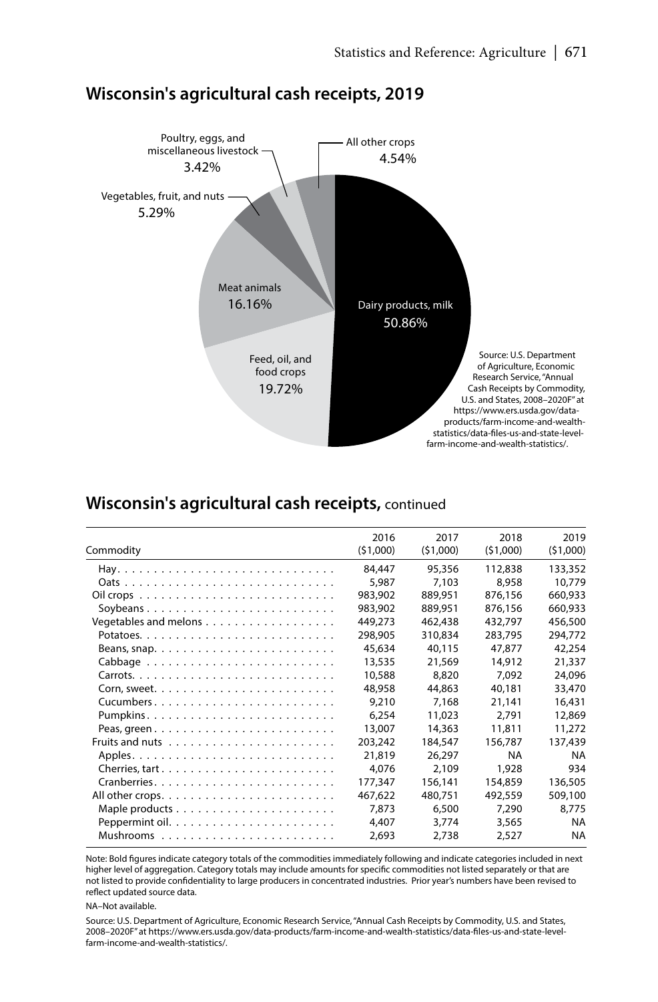

### **Wisconsin's agricultural cash receipts, 2019**

#### **Wisconsin's agricultural cash receipts,** continued

| Commodity                                                                     | 2016<br>(51,000) | 2017<br>(51,000) | 2018<br>(51,000) | 2019<br>(51,000) |
|-------------------------------------------------------------------------------|------------------|------------------|------------------|------------------|
|                                                                               | 84,447           | 95,356           | 112,838          | 133,352          |
|                                                                               | 5,987            | 7,103            | 8.958            | 10,779           |
|                                                                               | 983,902          | 889.951          | 876.156          | 660.933          |
|                                                                               | 983,902          | 889,951          | 876,156          | 660,933          |
| Vegetables and melons                                                         | 449,273          | 462,438          | 432,797          | 456,500          |
|                                                                               | 298,905          | 310,834          | 283.795          | 294.772          |
| Beans, snap. $\ldots \ldots \ldots \ldots \ldots \ldots \ldots \ldots \ldots$ | 45.634           | 40.115           | 47.877           | 42,254           |
|                                                                               | 13,535           | 21,569           | 14,912           | 21,337           |
|                                                                               | 10,588           | 8,820            | 7.092            | 24,096           |
|                                                                               | 48,958           | 44,863           | 40,181           | 33,470           |
|                                                                               | 9,210            | 7,168            | 21,141           | 16,431           |
|                                                                               | 6,254            | 11,023           | 2.791            | 12,869           |
|                                                                               | 13,007           | 14,363           | 11,811           | 11.272           |
|                                                                               | 203,242          | 184,547          | 156,787          | 137,439          |
|                                                                               | 21,819           | 26,297           | <b>NA</b>        | <b>NA</b>        |
|                                                                               | 4.076            | 2.109            | 1,928            | 934              |
|                                                                               | 177.347          | 156,141          | 154,859          | 136,505          |
|                                                                               | 467.622          | 480.751          | 492.559          | 509,100          |
|                                                                               | 7.873            | 6.500            | 7,290            | 8,775            |
|                                                                               | 4,407            | 3,774            | 3,565            | <b>NA</b>        |
|                                                                               | 2,693            | 2,738            | 2,527            | <b>NA</b>        |

Note: Bold figures indicate category totals of the commodities immediately following and indicate categories included in next higher level of aggregation. Category totals may include amounts for specific commodities not listed separately or that are not listed to provide confidentiality to large producers in concentrated industries. Prior year's numbers have been revised to reflect updated source data.

NA–Not available.

Source: U.S. Department of Agriculture, Economic Research Service, "Annual Cash Receipts by Commodity, U.S. and States, 2008–2020F" at https://www.ers.usda.gov/data-products/farm-income-and-wealth-statistics/data-files-us-and-state-levelfarm-income-and-wealth-statistics/.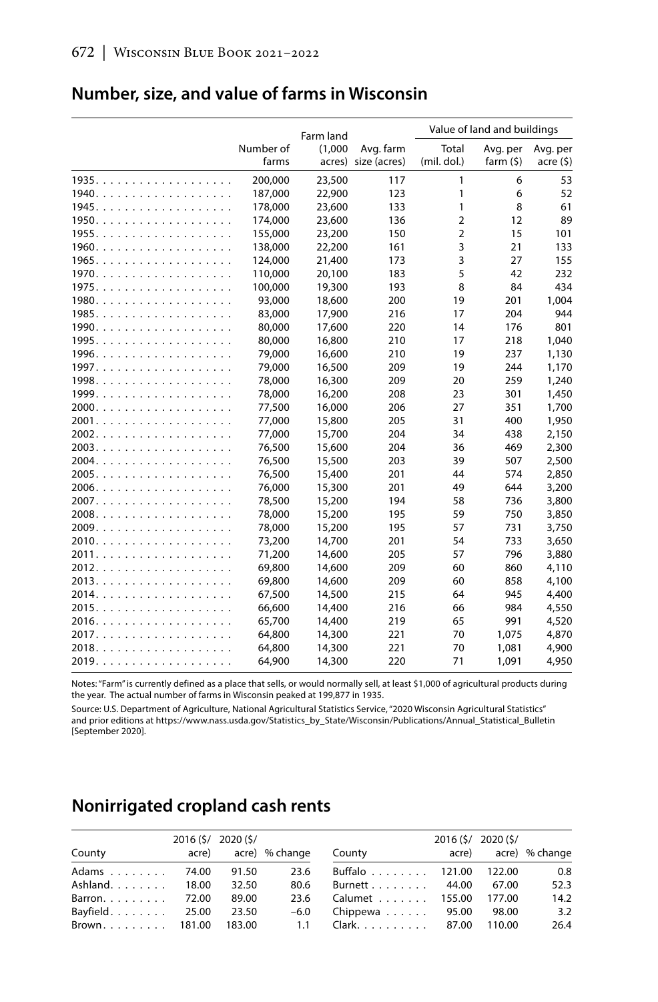#### **Number, size, and value of farms in Wisconsin**

|       |           | Farm land |                     | Value of land and buildings |            |          |  |
|-------|-----------|-----------|---------------------|-----------------------------|------------|----------|--|
|       | Number of | (1,000)   | Avg. farm           | Total                       | Avg. per   | Avg. per |  |
|       | farms     |           | acres) size (acres) | (mil. dol.)                 | farm $(5)$ | accre(5) |  |
| 1935. | 200,000   | 23,500    | 117                 | 1                           | 6          | 53       |  |
| 1940. | 187,000   | 22,900    | 123                 | 1                           | 6          | 52       |  |
| 1945. | 178,000   | 23,600    | 133                 | 1                           | 8          | 61       |  |
| 1950. | 174,000   | 23,600    | 136                 | $\overline{2}$              | 12         | 89       |  |
|       | 155,000   | 23,200    | 150                 | $\overline{2}$              | 15         | 101      |  |
| 1960. | 138,000   | 22,200    | 161                 | 3                           | 21         | 133      |  |
| 1965. | 124,000   | 21,400    | 173                 | 3                           | 27         | 155      |  |
| 1970. | 110,000   | 20,100    | 183                 | 5                           | 42         | 232      |  |
| 1975. | 100,000   | 19,300    | 193                 | 8                           | 84         | 434      |  |
| 1980. | 93,000    | 18,600    | 200                 | 19                          | 201        | 1.004    |  |
| 1985. | 83,000    | 17,900    | 216                 | 17                          | 204        | 944      |  |
|       | 80,000    | 17,600    | 220                 | 14                          | 176        | 801      |  |
|       | 80.000    | 16,800    | 210                 | 17                          | 218        | 1.040    |  |
|       | 79,000    | 16,600    | 210                 | 19                          | 237        | 1,130    |  |
|       | 79,000    | 16,500    | 209                 | 19                          | 244        | 1,170    |  |
|       | 78,000    | 16,300    | 209                 | 20                          | 259        | 1,240    |  |
|       | 78,000    | 16,200    | 208                 | 23                          | 301        | 1,450    |  |
|       | 77,500    | 16,000    | 206                 | 27                          | 351        | 1,700    |  |
|       | 77,000    | 15,800    | 205                 | 31                          | 400        | 1,950    |  |
|       | 77.000    | 15,700    | 204                 | 34                          | 438        | 2.150    |  |
|       | 76,500    | 15,600    | 204                 | 36                          | 469        | 2,300    |  |
|       | 76,500    | 15,500    | 203                 | 39                          | 507        | 2,500    |  |
|       | 76,500    | 15,400    | 201                 | 44                          | 574        | 2,850    |  |
|       | 76,000    | 15,300    | 201                 | 49                          | 644        | 3,200    |  |
|       | 78,500    | 15,200    | 194                 | 58                          | 736        | 3,800    |  |
|       | 78,000    | 15,200    | 195                 | 59                          | 750        | 3,850    |  |
|       | 78,000    | 15,200    | 195                 | 57                          | 731        | 3,750    |  |
|       | 73,200    | 14,700    | 201                 | 54                          | 733        | 3,650    |  |
|       | 71,200    | 14,600    | 205                 | 57                          | 796        | 3,880    |  |
| 2012. | 69.800    | 14,600    | 209                 | 60                          | 860        | 4.110    |  |
| 2013. | 69,800    | 14,600    | 209                 | 60                          | 858        | 4,100    |  |
| 2014. | 67,500    | 14,500    | 215                 | 64                          | 945        | 4,400    |  |
| 2015. | 66,600    | 14,400    | 216                 | 66                          | 984        | 4,550    |  |
| 2016. | 65,700    | 14,400    | 219                 | 65                          | 991        | 4,520    |  |
| 2017. | 64.800    | 14,300    | 221                 | 70                          | 1.075      | 4,870    |  |
| 2018. | 64,800    | 14,300    | 221                 | 70                          | 1,081      | 4,900    |  |
| 2019. | 64,900    | 14,300    | 220                 | 71                          | 1,091      | 4,950    |  |

Notes: "Farm" is currently defined as a place that sells, or would normally sell, at least \$1,000 of agricultural products during the year. The actual number of farms in Wisconsin peaked at 199,877 in 1935.

Source: U.S. Department of Agriculture, National Agricultural Statistics Service, "2020 Wisconsin Agricultural Statistics" and prior editions at https://www.nass.usda.gov/Statistics\_by\_State/Wisconsin/Publications/Annual\_Statistical\_Bulletin [September 2020].

# **Nonirrigated cropland cash rents**

| County           | acre) | 2016 (\$/ 2020 (\$/ | acre) % change | County                                     | 2016 (\$/ 2020 (\$/ | acre) acre) % change |
|------------------|-------|---------------------|----------------|--------------------------------------------|---------------------|----------------------|
| Adams 74.00      |       | 91.50               | 23.6           | Buffalo 121.00 122.00                      |                     | 0.8                  |
| Ashland. 18.00   |       | 32.50               | 80.6           | Burnett 44.00                              | 67.00               | 52.3                 |
| Barron. 72.00    |       | 89.00               | 23.6           | Calumet 155.00                             | 177.00              | 14.2                 |
| Bayfield $25.00$ |       | 23.50               | $-6.0$         | Chippewa $\ldots \ldots$ 95.00             | 98.00               | 3.2                  |
|                  |       |                     |                | Brown 181.00 183.00 1.1 Clark 87.00 110.00 |                     | 26.4                 |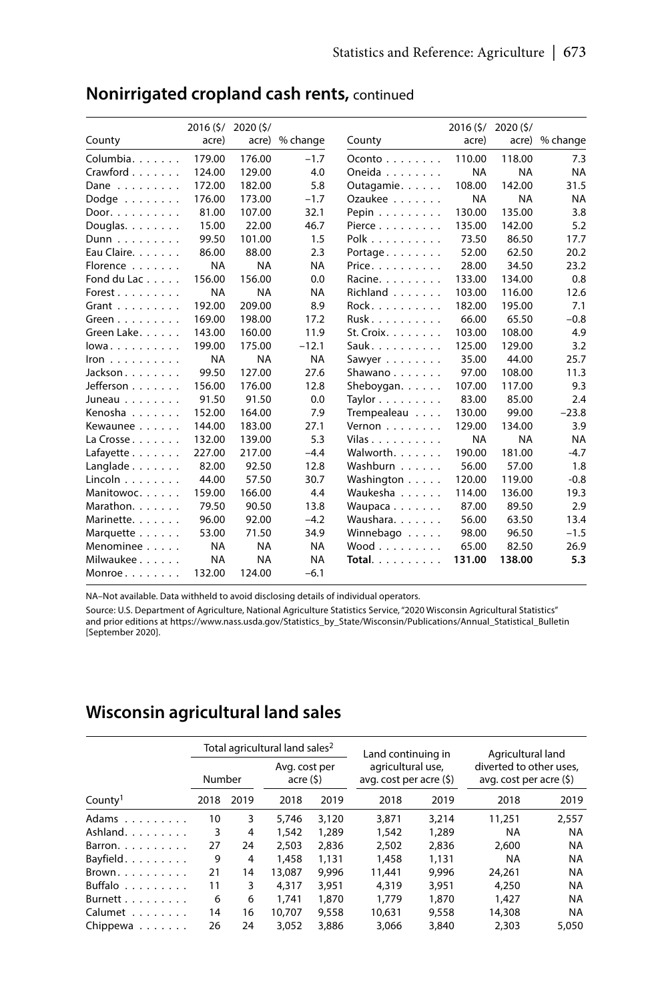|                             |           | 2016 (\$/ 2020 (\$/ |                |                                       |           | 2016 (\$/ 2020 (\$/ |                |
|-----------------------------|-----------|---------------------|----------------|---------------------------------------|-----------|---------------------|----------------|
| County                      | acre)     |                     | acre) % change | County                                | acre)     |                     | acre) % change |
| Columbia.                   | 179.00    | 176.00              | $-1.7$         | $Oconto$                              | 110.00    | 118.00              | 7.3            |
| Crawford                    | 124.00    | 129.00              | 4.0            | Oneida                                | <b>NA</b> | <b>NA</b>           | <b>NA</b>      |
| Dane                        | 172.00    | 182.00              | 5.8            | Outagamie.                            | 108.00    | 142.00              | 31.5           |
| Dodge $\ldots$              | 176.00    | 173.00              | $-1.7$         | Ozaukee                               | <b>NA</b> | <b>NA</b>           | <b>NA</b>      |
| Door. $\ldots$              | 81.00     | 107.00              | 32.1           | Pepin $\ldots$                        | 130.00    | 135.00              | 3.8            |
| Douglas. $\ldots$ .         | 15.00     | 22.00               | 46.7           | Pierce $\ldots$ , $\ldots$ , $\ldots$ | 135.00    | 142.00              | 5.2            |
| $Dunn \dots \dots \dots$    | 99.50     | 101.00              | 1.5            | $Polk$                                | 73.50     | 86.50               | 17.7           |
| Eau Claire.                 | 86.00     | 88.00               | 2.3            | Portage                               | 52.00     | 62.50               | 20.2           |
| Florence                    | <b>NA</b> | <b>NA</b>           | <b>NA</b>      | Price.                                | 28.00     | 34.50               | 23.2           |
| Fond du Lac                 | 156.00    | 156.00              | 0.0            | Racine.                               | 133.00    | 134.00              | 0.8            |
| Forest                      | <b>NA</b> | <b>NA</b>           | <b>NA</b>      | Richland                              | 103.00    | 116.00              | 12.6           |
| Grant $\ldots$              | 192.00    | 209.00              | 8.9            | Rock.                                 | 182.00    | 195.00              | 7.1            |
| Green $\dots$               | 169.00    | 198.00              | 17.2           | Rusk                                  | 66.00     | 65.50               | $-0.8$         |
| Green Lake.                 | 143.00    | 160.00              | 11.9           | St. Croix. $\ldots$ .                 | 103.00    | 108.00              | 4.9            |
| lowa                        | 199.00    | 175.00              | $-12.1$        | Sauk.                                 | 125.00    | 129.00              | 3.2            |
| Iron $\ldots \ldots \ldots$ | <b>NA</b> | <b>NA</b>           | <b>NA</b>      | Sawyer $\ldots$                       | 35.00     | 44.00               | 25.7           |
| Jackson                     | 99.50     | 127.00              | 27.6           | Shawano                               | 97.00     | 108.00              | 11.3           |
| Jefferson                   | 156.00    | 176.00              | 12.8           | Sheboygan. $\ldots$ .                 | 107.00    | 117.00              | 9.3            |
| Juneau                      | 91.50     | 91.50               | 0.0            | Taylor                                | 83.00     | 85.00               | 2.4            |
| Kenosha                     | 152.00    | 164.00              | 7.9            | Trempealeau                           | 130.00    | 99.00               | $-23.8$        |
| Kewaunee                    | 144.00    | 183.00              | 27.1           | Vernon $\ldots$ , $\ldots$            | 129.00    | 134.00              | 3.9            |
| La Crosse                   | 132.00    | 139.00              | 5.3            | Vilas                                 | <b>NA</b> | <b>NA</b>           | <b>NA</b>      |
| Lafavette                   | 227.00    | 217.00              | $-4.4$         | Walworth.                             | 190.00    | 181.00              | $-4.7$         |
| Langlade $\ldots$           | 82.00     | 92.50               | 12.8           | Washburn                              | 56.00     | 57.00               | 1.8            |
| Lincoln                     | 44.00     | 57.50               | 30.7           | Washington                            | 120.00    | 119.00              | $-0.8$         |
| Manitowoc.                  | 159.00    | 166.00              | 4.4            | Waukesha                              | 114.00    | 136.00              | 19.3           |
| Marathon.                   | 79.50     | 90.50               | 13.8           | Waupaca                               | 87.00     | 89.50               | 2.9            |
| Marinette.                  | 96.00     | 92.00               | $-4.2$         | Waushara.                             | 56.00     | 63.50               | 13.4           |
| Marquette                   | 53.00     | 71.50               | 34.9           | Winnebago                             | 98.00     | 96.50               | $-1.5$         |
| Menominee                   | <b>NA</b> | <b>NA</b>           | <b>NA</b>      | $Wood \ldots \ldots$                  | 65.00     | 82.50               | 26.9           |
| Milwaukee                   | <b>NA</b> | <b>NA</b>           | <b>NA</b>      | Total.                                | 131.00    | 138.00              | 5.3            |
| Monroe                      | 132.00    | 124.00              | $-6.1$         |                                       |           |                     |                |

## **Nonirrigated cropland cash rents,** continued

NA–Not available. Data withheld to avoid disclosing details of individual operators.

Source: U.S. Department of Agriculture, National Agriculture Statistics Service, "2020 Wisconsin Agricultural Statistics" and prior editions at https://www.nass.usda.gov/Statistics\_by\_State/Wisconsin/Publications/Annual\_Statistical\_Bulletin [September 2020].

# **Wisconsin agricultural land sales**

|                     |        |      | Total agricultural land sales <sup>2</sup> |       | Land continuing in                            |       | Agricultural land                                   |           |
|---------------------|--------|------|--------------------------------------------|-------|-----------------------------------------------|-------|-----------------------------------------------------|-----------|
|                     | Number |      | Avg. cost per<br>accre(5)                  |       | agricultural use,<br>avg. cost per acre $(5)$ |       | diverted to other uses.<br>avg. cost per acre $(5)$ |           |
| County <sup>1</sup> | 2018   | 2019 | 2018                                       | 2019  | 2018                                          | 2019  | 2018                                                | 2019      |
| Adams               | 10     | 3    | 5.746                                      | 3.120 | 3,871                                         | 3.214 | 11,251                                              | 2.557     |
| Ashland.            | 3      | 4    | 1,542                                      | 1,289 | 1,542                                         | 1,289 | <b>NA</b>                                           | NA        |
| Barron. $\ldots$    | 27     | 24   | 2.503                                      | 2.836 | 2.502                                         | 2.836 | 2,600                                               | NA        |
| Bayfield.           | 9      | 4    | 1,458                                      | 1.131 | 1.458                                         | 1,131 | <b>NA</b>                                           | NA        |
| Brown.              | 21     | 14   | 13.087                                     | 9.996 | 11,441                                        | 9.996 | 24.261                                              | NA        |
| Buffalo             | 11     | 3    | 4.317                                      | 3.951 | 4,319                                         | 3.951 | 4.250                                               | NA        |
| Burnett             | 6      | 6    | 1.741                                      | 1,870 | 1.779                                         | 1,870 | 1.427                                               | NA        |
| Calumet             | 14     | 16   | 10.707                                     | 9.558 | 10.631                                        | 9,558 | 14,308                                              | <b>NA</b> |
| Chippewa            | 26     | 24   | 3.052                                      | 3,886 | 3.066                                         | 3,840 | 2.303                                               | 5.050     |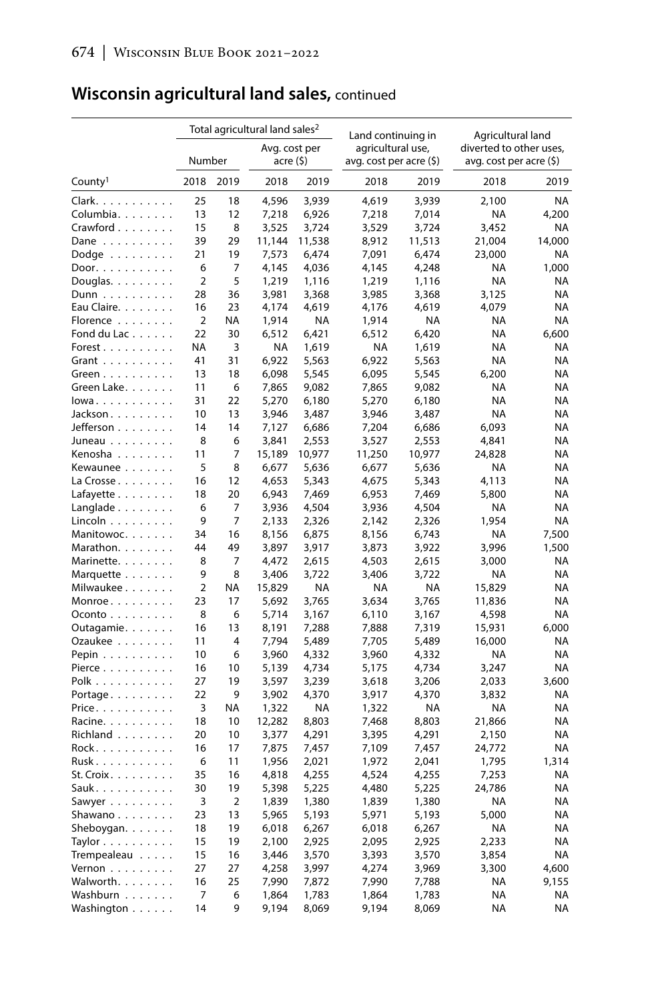# **Wisconsin agricultural land sales,** continued

|                                    |                |                | Total agricultural land sales <sup>2</sup> |        | Land continuing in       |        | Agricultural land        |           |  |
|------------------------------------|----------------|----------------|--------------------------------------------|--------|--------------------------|--------|--------------------------|-----------|--|
|                                    |                |                | Avg. cost per                              |        | agricultural use,        |        | diverted to other uses,  |           |  |
|                                    | Number         |                | acre (\$)                                  |        | avg. cost per acre $(5)$ |        | avg. cost per acre $(5)$ |           |  |
| County <sup>1</sup>                | 2018           | 2019           | 2018                                       | 2019   | 2018                     | 2019   | 2018                     | 2019      |  |
| Clark.                             | 25             | 18             | 4,596                                      | 3,939  | 4,619                    | 3,939  | 2,100                    | <b>NA</b> |  |
| Columbia.                          | 13             | 12             | 7,218                                      | 6,926  | 7,218                    | 7,014  | NA                       | 4,200     |  |
| Crawford                           | 15             | 8              | 3,525                                      | 3,724  | 3,529                    | 3,724  | 3,452                    | <b>NA</b> |  |
| Dane $\ldots$                      | 39             | 29             | 11,144                                     | 11,538 | 8,912                    | 11,513 | 21,004                   | 14,000    |  |
| Dodge $\dots\dots\dots$            | 21             | 19             | 7,573                                      | 6,474  | 7,091                    | 6,474  | 23,000                   | <b>NA</b> |  |
| Door.                              | 6              | 7              | 4,145                                      | 4,036  | 4,145                    | 4,248  | <b>NA</b>                | 1,000     |  |
| Douglas. $\ldots$                  | $\overline{2}$ | 5              | 1,219                                      | 1,116  | 1,219                    | 1,116  | <b>NA</b>                | ΝA        |  |
| $Dunn \dots \dots \dots$           | 28             | 36             | 3,981                                      | 3,368  | 3,985                    | 3,368  | 3,125                    | ΝA        |  |
| Eau Claire.                        | 16             | 23             | 4,174                                      | 4,619  | 4,176                    | 4,619  | 4,079                    | NA        |  |
| Florence                           | $\overline{2}$ | ΝA             | 1,914                                      | NA     | 1,914                    | ΝA     | <b>NA</b>                | <b>NA</b> |  |
| Fond du Lac                        | 22             | 30             | 6,512                                      | 6,421  | 6,512                    | 6,420  | <b>NA</b>                | 6,600     |  |
| Forest                             | ΝA             | 3              | ΝA                                         | 1,619  | ΝA                       | 1,619  | NA                       | ΝA        |  |
| Grant $\ldots$                     | 41             | 31             | 6,922                                      | 5,563  | 6,922                    | 5,563  | <b>NA</b>                | <b>NA</b> |  |
| Green $\dots$                      | 13             | 18             | 6,098                                      | 5,545  | 6,095                    | 5,545  | 6,200                    | NA        |  |
| Green Lake.                        | 11             | 6              | 7,865                                      | 9,082  | 7,865                    | 9,082  | ΝA                       | ΝA        |  |
| lowa                               | 31             | 22             | 5,270                                      | 6,180  | 5,270                    | 6,180  | NA                       | ΝA        |  |
| Jackson.                           | 10             | 13             | 3,946                                      | 3,487  | 3,946                    | 3,487  | <b>NA</b>                | ΝA        |  |
| Jefferson                          | 14             | 14             | 7,127                                      | 6,686  | 7,204                    | 6,686  | 6,093                    | ΝA        |  |
| Juneau                             | 8              | 6              | 3,841                                      | 2,553  | 3,527                    | 2,553  | 4.841                    | NA        |  |
| Kenosha                            | 11             | 7              | 15,189                                     | 10,977 | 11,250                   | 10,977 | 24,828                   | ΝA        |  |
| Kewaunee                           | 5              | 8              | 6,677                                      | 5,636  | 6,677                    | 5,636  | ΝA                       | ΝA        |  |
| La Crosse                          | 16             | 12             | 4,653                                      | 5,343  | 4,675                    | 5,343  | 4,113                    | NA        |  |
| Lafayette                          | 18             | 20             | 6,943                                      | 7,469  | 6,953                    | 7,469  | 5,800                    | ΝA        |  |
| Langlade                           | 6              | 7              | 3,936                                      | 4,504  | 3,936                    | 4,504  | <b>NA</b>                | <b>NA</b> |  |
| Lincoln                            | 9              | 7              | 2,133                                      | 2,326  | 2,142                    | 2,326  | 1,954                    | NA        |  |
| Manitowoc.                         | 34             | 16             | 8,156                                      | 6,875  | 8,156                    | 6,743  | <b>NA</b>                | 7,500     |  |
| Marathon.                          | 44             | 49             | 3,897                                      | 3,917  | 3,873                    | 3,922  | 3,996                    | 1,500     |  |
| Marinette.                         | 8              | 7              | 4,472                                      | 2,615  | 4,503                    | 2,615  | 3,000                    | NA        |  |
| Marquette                          | 9              | 8              | 3,406                                      | 3,722  | 3,406                    | 3,722  | NA                       | <b>NA</b> |  |
| Milwaukee                          | $\overline{2}$ | <b>NA</b>      | 15,829                                     | NA     | ΝA                       | ΝA     | 15,829                   | NA        |  |
| $Monroe \ldots$                    | 23             | 17             | 5,692                                      | 3,765  | 3,634                    | 3,765  | 11,836                   | NA        |  |
| $O$ conto $\ldots$                 | 8              | 6              | 5,714                                      | 3,167  | 6,110                    | 3,167  | 4,598                    | <b>NA</b> |  |
| Outagamie.                         | 16             | 13             | 8,191                                      | 7,288  | 7,888                    | 7,319  | 15,931                   | 6,000     |  |
| Ozaukee                            | 11             | 4              | 7,794                                      | 5,489  | 7,705                    | 5,489  | 16,000                   | ΝA        |  |
| Pepin                              | 10             | 6              | 3,960                                      | 4,332  | 3,960                    | 4,332  | NA                       | NA        |  |
| Pierce                             | 16             | 10             | 5,139                                      | 4,734  | 5,175                    | 4,734  | 3,247                    | NA        |  |
| Polk                               | 27             | 19             | 3,597                                      | 3,239  | 3,618                    | 3,206  | 2,033                    | 3,600     |  |
| Portage                            | 22             | 9              | 3,902                                      | 4,370  | 3,917                    | 4,370  | 3,832                    | ΝA        |  |
| Price. $\ldots$ .                  | 3              | NA             | 1,322                                      | NA     | 1,322                    | ΝA     | <b>NA</b>                | NA        |  |
| Racine.                            | 18             | 10             | 12,282                                     | 8,803  | 7,468                    | 8,803  | 21,866                   | NA        |  |
| Richland                           | 20             | 10             | 3,377                                      | 4,291  | 3,395                    | 4,291  | 2,150                    | ΝA        |  |
| Rock.                              | 16             | 17             | 7,875                                      | 7,457  | 7,109                    | 7,457  | 24,772                   | <b>NA</b> |  |
| Rusk                               | 6              | 11             | 1,956                                      | 2,021  | 1,972                    | 2,041  | 1,795                    | 1,314     |  |
| $St.$ Croix $\ldots \ldots \ldots$ | 35             | 16             | 4,818                                      | 4,255  | 4,524                    | 4,255  | 7,253                    | ΝA        |  |
| Sauk.                              | 30             | 19             | 5,398                                      | 5,225  | 4,480                    | 5,225  | 24,786                   | NA        |  |
| Sawyer                             | 3              | $\overline{2}$ | 1,839                                      | 1,380  | 1,839                    | 1,380  | <b>NA</b>                | NA        |  |
| Shawano                            | 23             | 13             | 5,965                                      | 5,193  | 5,971                    | 5,193  | 5,000                    | ΝA        |  |
| Sheboygan.                         | 18             | 19             | 6,018                                      | 6,267  | 6,018                    | 6,267  | <b>NA</b>                | <b>NA</b> |  |
| Taylor                             | 15             | 19             | 2,100                                      | 2,925  | 2,095                    | 2,925  | 2,233                    | NA        |  |
| Trempealeau                        | 15             | 16             | 3,446                                      | 3,570  | 3,393                    | 3,570  | 3,854                    | <b>NA</b> |  |
| Vernon $\ldots$                    | 27             | 27             | 4,258                                      | 3,997  | 4,274                    | 3,969  | 3,300                    | 4,600     |  |
| Walworth.                          | 16             | 25             | 7,990                                      | 7,872  | 7,990                    | 7,788  | <b>NA</b>                | 9,155     |  |
| Washburn                           | 7              | 6              | 1,864                                      | 1,783  | 1,864                    | 1,783  | <b>NA</b>                | <b>NA</b> |  |
| Washington                         | 14             | 9              | 9,194                                      | 8,069  | 9,194                    | 8,069  | <b>NA</b>                | NA        |  |